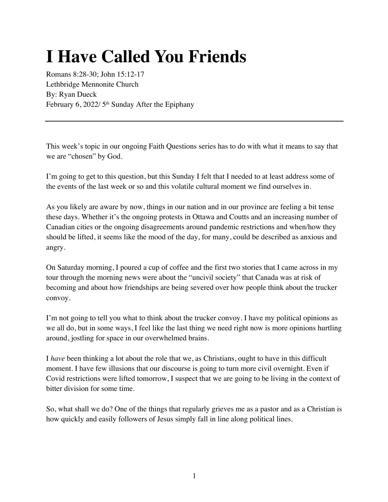## **I Have Called You Friends**

Romans 8:28-30; John 15:12-17 Lethbridge Mennonite Church By: Ryan Dueck February 6, 2022/ 5<sup>th</sup> Sunday After the Epiphany

This week's topic in our ongoing Faith Questions series has to do with what it means to say that we are "chosen" by God.

I'm going to get to this question, but this Sunday I felt that I needed to at least address some of the events of the last week or so and this volatile cultural moment we find ourselves in.

As you likely are aware by now, things in our nation and in our province are feeling a bit tense these days. Whether it's the ongoing protests in Ottawa and Coutts and an increasing number of Canadian cities or the ongoing disagreements around pandemic restrictions and when/how they should be lifted, it seems like the mood of the day, for many, could be described as anxious and angry.

On Saturday morning, I poured a cup of coffee and the first two stories that I came across in my tour through the morning news were about the "uncivil society" that Canada was at risk of becoming and about how friendships are being severed over how people think about the trucker convoy.

I'm not going to tell you what to think about the trucker convoy. I have my political opinions as we all do, but in some ways, I feel like the last thing we need right now is more opinions hurtling around, jostling for space in our overwhelmed brains.

I *have* been thinking a lot about the role that we, as Christians, ought to have in this difficult moment. I have few illusions that our discourse is going to turn more civil overnight. Even if Covid restrictions were lifted tomorrow, I suspect that we are going to be living in the context of bitter division for some time.

So, what shall we do? One of the things that regularly grieves me as a pastor and as a Christian is how quickly and easily followers of Jesus simply fall in line along political lines.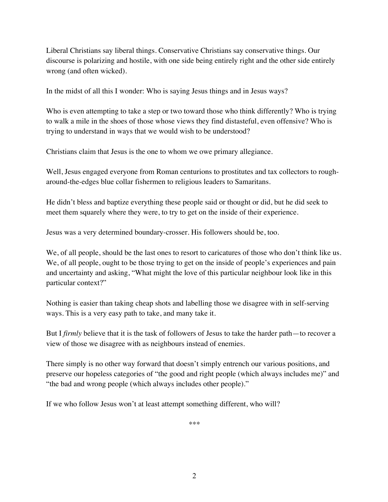Liberal Christians say liberal things. Conservative Christians say conservative things. Our discourse is polarizing and hostile, with one side being entirely right and the other side entirely wrong (and often wicked).

In the midst of all this I wonder: Who is saying Jesus things and in Jesus ways?

Who is even attempting to take a step or two toward those who think differently? Who is trying to walk a mile in the shoes of those whose views they find distasteful, even offensive? Who is trying to understand in ways that we would wish to be understood?

Christians claim that Jesus is the one to whom we owe primary allegiance.

Well, Jesus engaged everyone from Roman centurions to prostitutes and tax collectors to rougharound-the-edges blue collar fishermen to religious leaders to Samaritans.

He didn't bless and baptize everything these people said or thought or did, but he did seek to meet them squarely where they were, to try to get on the inside of their experience.

Jesus was a very determined boundary-crosser. His followers should be, too.

We, of all people, should be the last ones to resort to caricatures of those who don't think like us. We, of all people, ought to be those trying to get on the inside of people's experiences and pain and uncertainty and asking, "What might the love of this particular neighbour look like in this particular context?"

Nothing is easier than taking cheap shots and labelling those we disagree with in self-serving ways. This is a very easy path to take, and many take it.

But I *firmly* believe that it is the task of followers of Jesus to take the harder path—to recover a view of those we disagree with as neighbours instead of enemies.

There simply is no other way forward that doesn't simply entrench our various positions, and preserve our hopeless categories of "the good and right people (which always includes me)" and "the bad and wrong people (which always includes other people)."

If we who follow Jesus won't at least attempt something different, who will?

\*\*\*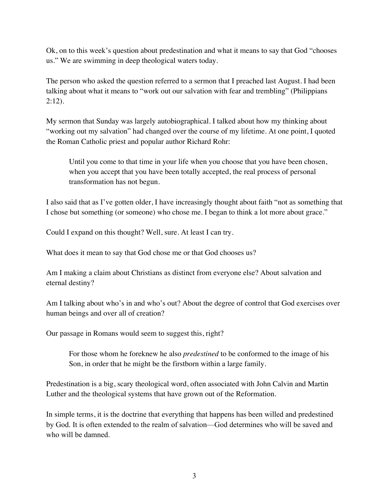Ok, on to this week's question about predestination and what it means to say that God "chooses us." We are swimming in deep theological waters today.

The person who asked the question referred to a sermon that I preached last August. I had been talking about what it means to "work out our salvation with fear and trembling" (Philippians 2:12).

My sermon that Sunday was largely autobiographical. I talked about how my thinking about "working out my salvation" had changed over the course of my lifetime. At one point, I quoted the Roman Catholic priest and popular author Richard Rohr:

Until you come to that time in your life when you choose that you have been chosen, when you accept that you have been totally accepted, the real process of personal transformation has not begun.

I also said that as I've gotten older, I have increasingly thought about faith "not as something that I chose but something (or someone) who chose me. I began to think a lot more about grace."

Could I expand on this thought? Well, sure. At least I can try.

What does it mean to say that God chose me or that God chooses us?

Am I making a claim about Christians as distinct from everyone else? About salvation and eternal destiny?

Am I talking about who's in and who's out? About the degree of control that God exercises over human beings and over all of creation?

Our passage in Romans would seem to suggest this, right?

For those whom he foreknew he also *predestined* to be conformed to the image of his Son, in order that he might be the firstborn within a large family.

Predestination is a big, scary theological word, often associated with John Calvin and Martin Luther and the theological systems that have grown out of the Reformation.

In simple terms, it is the doctrine that everything that happens has been willed and predestined by God. It is often extended to the realm of salvation—God determines who will be saved and who will be damned.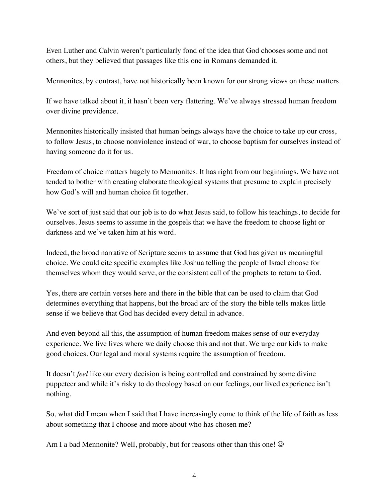Even Luther and Calvin weren't particularly fond of the idea that God chooses some and not others, but they believed that passages like this one in Romans demanded it.

Mennonites, by contrast, have not historically been known for our strong views on these matters.

If we have talked about it, it hasn't been very flattering. We've always stressed human freedom over divine providence.

Mennonites historically insisted that human beings always have the choice to take up our cross, to follow Jesus, to choose nonviolence instead of war, to choose baptism for ourselves instead of having someone do it for us.

Freedom of choice matters hugely to Mennonites. It has right from our beginnings. We have not tended to bother with creating elaborate theological systems that presume to explain precisely how God's will and human choice fit together.

We've sort of just said that our job is to do what Jesus said, to follow his teachings, to decide for ourselves. Jesus seems to assume in the gospels that we have the freedom to choose light or darkness and we've taken him at his word.

Indeed, the broad narrative of Scripture seems to assume that God has given us meaningful choice. We could cite specific examples like Joshua telling the people of Israel choose for themselves whom they would serve, or the consistent call of the prophets to return to God.

Yes, there are certain verses here and there in the bible that can be used to claim that God determines everything that happens, but the broad arc of the story the bible tells makes little sense if we believe that God has decided every detail in advance.

And even beyond all this, the assumption of human freedom makes sense of our everyday experience. We live lives where we daily choose this and not that. We urge our kids to make good choices. Our legal and moral systems require the assumption of freedom.

It doesn't *feel* like our every decision is being controlled and constrained by some divine puppeteer and while it's risky to do theology based on our feelings, our lived experience isn't nothing.

So, what did I mean when I said that I have increasingly come to think of the life of faith as less about something that I choose and more about who has chosen me?

Am I a bad Mennonite? Well, probably, but for reasons other than this one!  $\odot$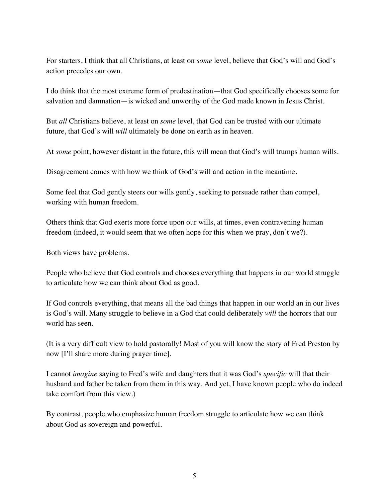For starters, I think that all Christians, at least on *some* level, believe that God's will and God's action precedes our own.

I do think that the most extreme form of predestination—that God specifically chooses some for salvation and damnation—is wicked and unworthy of the God made known in Jesus Christ.

But *all* Christians believe, at least on *some* level, that God can be trusted with our ultimate future, that God's will *will* ultimately be done on earth as in heaven.

At *some* point, however distant in the future, this will mean that God's will trumps human wills.

Disagreement comes with how we think of God's will and action in the meantime.

Some feel that God gently steers our wills gently, seeking to persuade rather than compel, working with human freedom.

Others think that God exerts more force upon our wills, at times, even contravening human freedom (indeed, it would seem that we often hope for this when we pray, don't we?).

Both views have problems.

People who believe that God controls and chooses everything that happens in our world struggle to articulate how we can think about God as good.

If God controls everything, that means all the bad things that happen in our world an in our lives is God's will. Many struggle to believe in a God that could deliberately *will* the horrors that our world has seen.

(It is a very difficult view to hold pastorally! Most of you will know the story of Fred Preston by now [I'll share more during prayer time].

I cannot *imagine* saying to Fred's wife and daughters that it was God's *specific* will that their husband and father be taken from them in this way. And yet, I have known people who do indeed take comfort from this view.)

By contrast, people who emphasize human freedom struggle to articulate how we can think about God as sovereign and powerful.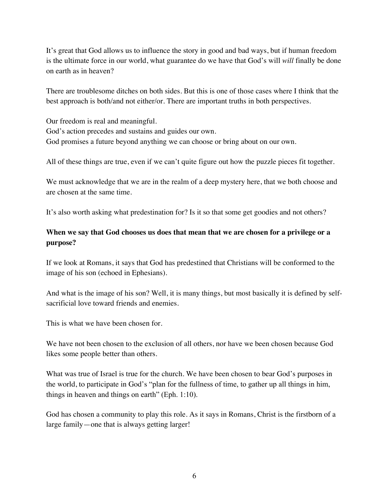It's great that God allows us to influence the story in good and bad ways, but if human freedom is the ultimate force in our world, what guarantee do we have that God's will *will* finally be done on earth as in heaven?

There are troublesome ditches on both sides. But this is one of those cases where I think that the best approach is both/and not either/or. There are important truths in both perspectives.

Our freedom is real and meaningful. God's action precedes and sustains and guides our own. God promises a future beyond anything we can choose or bring about on our own.

All of these things are true, even if we can't quite figure out how the puzzle pieces fit together.

We must acknowledge that we are in the realm of a deep mystery here, that we both choose and are chosen at the same time.

It's also worth asking what predestination for? Is it so that some get goodies and not others?

## **When we say that God chooses us does that mean that we are chosen for a privilege or a purpose?**

If we look at Romans, it says that God has predestined that Christians will be conformed to the image of his son (echoed in Ephesians).

And what is the image of his son? Well, it is many things, but most basically it is defined by selfsacrificial love toward friends and enemies.

This is what we have been chosen for.

We have not been chosen to the exclusion of all others, nor have we been chosen because God likes some people better than others.

What was true of Israel is true for the church. We have been chosen to bear God's purposes in the world, to participate in God's "plan for the fullness of time, to gather up all things in him, things in heaven and things on earth" (Eph. 1:10).

God has chosen a community to play this role. As it says in Romans, Christ is the firstborn of a large family—one that is always getting larger!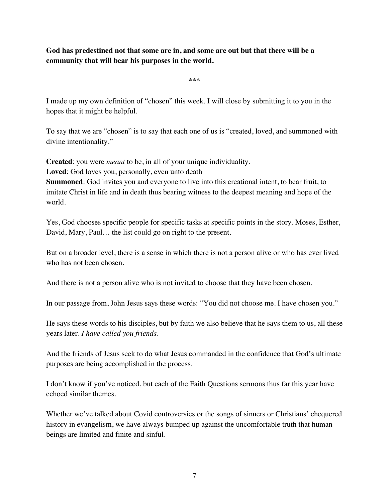**God has predestined not that some are in, and some are out but that there will be a community that will bear his purposes in the world.** 

\*\*\*

I made up my own definition of "chosen" this week. I will close by submitting it to you in the hopes that it might be helpful.

To say that we are "chosen" is to say that each one of us is "created, loved, and summoned with divine intentionality."

**Created**: you were *meant* to be, in all of your unique individuality.

**Loved**: God loves you, personally, even unto death

**Summoned**: God invites you and everyone to live into this creational intent, to bear fruit, to imitate Christ in life and in death thus bearing witness to the deepest meaning and hope of the world.

Yes, God chooses specific people for specific tasks at specific points in the story. Moses, Esther, David, Mary, Paul… the list could go on right to the present.

But on a broader level, there is a sense in which there is not a person alive or who has ever lived who has not been chosen.

And there is not a person alive who is not invited to choose that they have been chosen.

In our passage from, John Jesus says these words: "You did not choose me. I have chosen you."

He says these words to his disciples, but by faith we also believe that he says them to us, all these years later. *I have called you friends.* 

And the friends of Jesus seek to do what Jesus commanded in the confidence that God's ultimate purposes are being accomplished in the process.

I don't know if you've noticed, but each of the Faith Questions sermons thus far this year have echoed similar themes.

Whether we've talked about Covid controversies or the songs of sinners or Christians' chequered history in evangelism, we have always bumped up against the uncomfortable truth that human beings are limited and finite and sinful.